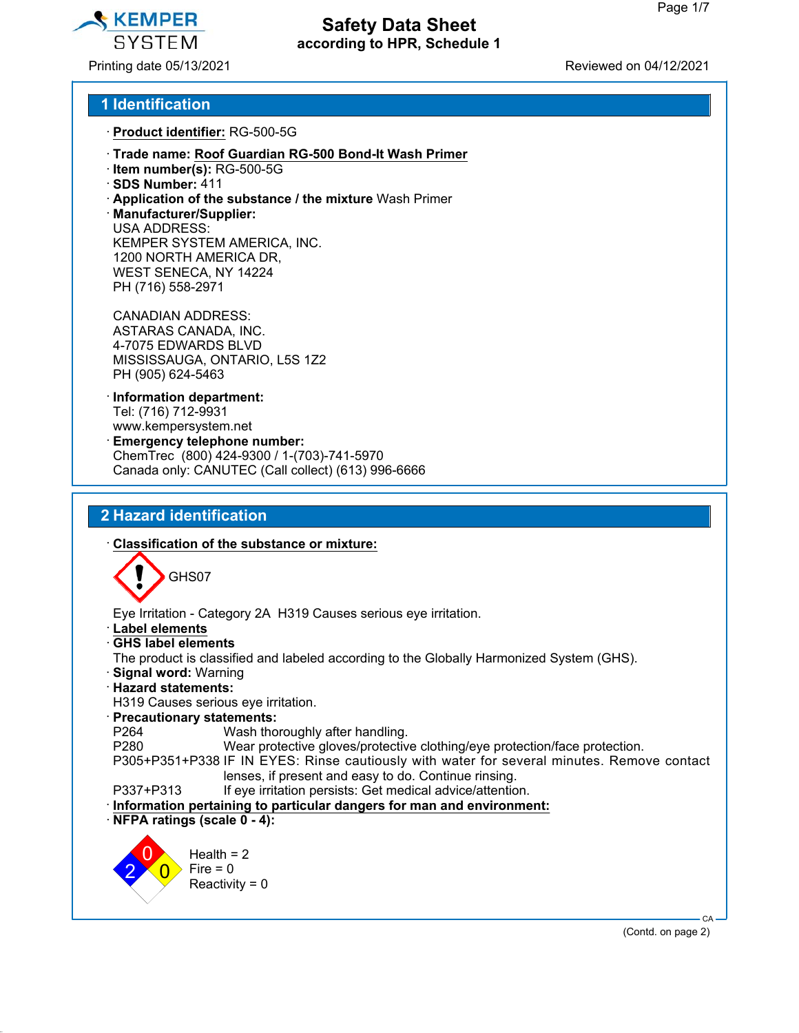

Printing date 05/13/2021 Reviewed on 04/12/2021

### **1 Identification**

- · **Product identifier:** RG-500-5G
- · **Trade name: Roof Guardian RG-500 Bond-It Wash Primer**
- · **Item number(s):** RG-500-5G
- · **SDS Number:** 411
- · **Application of the substance / the mixture** Wash Primer
- · **Manufacturer/Supplier:** USA ADDRESS: KEMPER SYSTEM AMERICA, INC. 1200 NORTH AMERICA DR, WEST SENECA, NY 14224 PH (716) 558-2971

CANADIAN ADDRESS: ASTARAS CANADA, INC. 4-7075 EDWARDS BLVD MISSISSAUGA, ONTARIO, L5S 1Z2 PH (905) 624-5463

- · **Information department:** Tel: (716) 712-9931 www.kempersystem.net
- · **Emergency telephone number:** ChemTrec (800) 424-9300 / 1-(703)-741-5970 Canada only: CANUTEC (Call collect) (613) 996-6666

## **2 Hazard identification**



(Contd. on page 2)

CA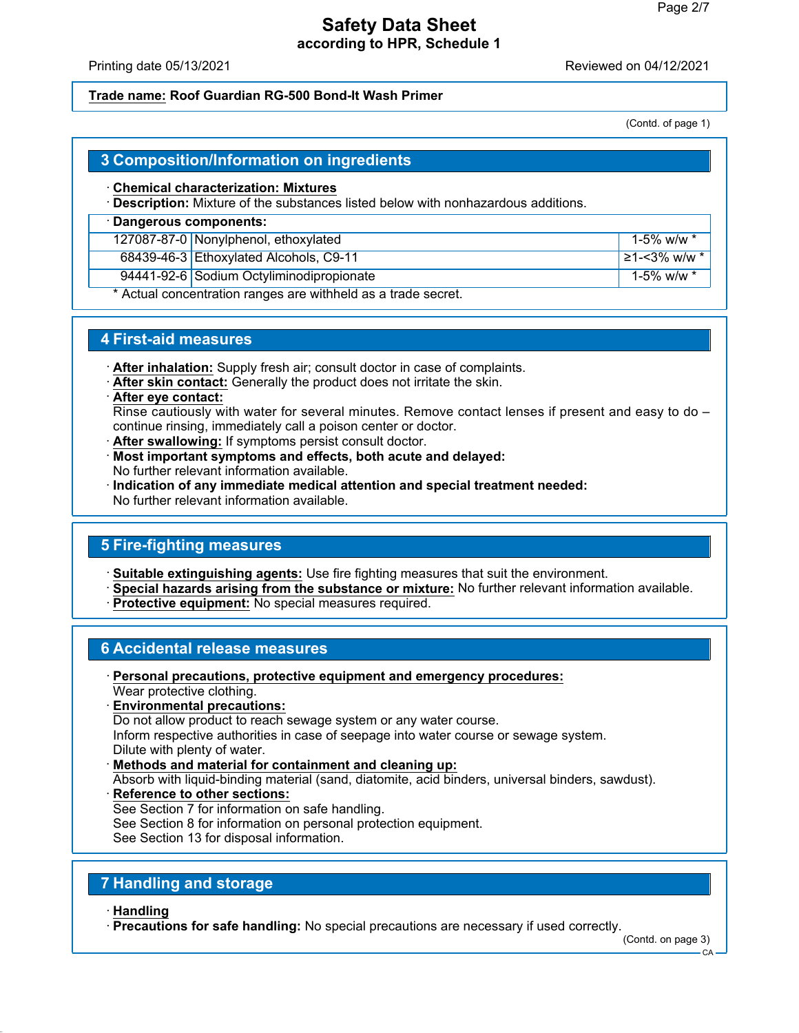Printing date 05/13/2021 Reviewed on 04/12/2021

## **Trade name: Roof Guardian RG-500 Bond-It Wash Primer**

(Contd. of page 1)

# **3 Composition/Information on ingredients**

## · **Chemical characterization: Mixtures**

· **Description:** Mixture of the substances listed below with nonhazardous additions.

## · **Dangerous components:**

127087-87-0 Nonylphenol, ethoxylated 15% w/w \*

68439-46-3 Ethoxylated Alcohols, C9-11 ≥1-<3% w/w \*

94441-92-6 Sodium Octyliminodipropionate 1-5% w/w \*

Actual concentration ranges are withheld as a trade secret.

# **4 First-aid measures**

- · **After inhalation:** Supply fresh air; consult doctor in case of complaints.
- · **After skin contact:** Generally the product does not irritate the skin.
- · **After eye contact:**

Rinse cautiously with water for several minutes. Remove contact lenses if present and easy to do – continue rinsing, immediately call a poison center or doctor.

- · **After swallowing:** If symptoms persist consult doctor.
- · **Most important symptoms and effects, both acute and delayed:** No further relevant information available.
- · **Indication of any immediate medical attention and special treatment needed:** No further relevant information available.

# **5 Fire-fighting measures**

· **Suitable extinguishing agents:** Use fire fighting measures that suit the environment.

- · **Special hazards arising from the substance or mixture:** No further relevant information available.
- · **Protective equipment:** No special measures required.

# **6 Accidental release measures**

- · **Personal precautions, protective equipment and emergency procedures:** Wear protective clothing.
- · **Environmental precautions:**

Do not allow product to reach sewage system or any water course.

Inform respective authorities in case of seepage into water course or sewage system. Dilute with plenty of water.

· **Methods and material for containment and cleaning up:**

Absorb with liquid-binding material (sand, diatomite, acid binders, universal binders, sawdust).

· **Reference to other sections:** See Section 7 for information on safe handling. See Section 8 for information on personal protection equipment. See Section 13 for disposal information.

# **7 Handling and storage**

# · **Handling**

· **Precautions for safe handling:** No special precautions are necessary if used correctly.

(Contd. on page 3)

 $CA$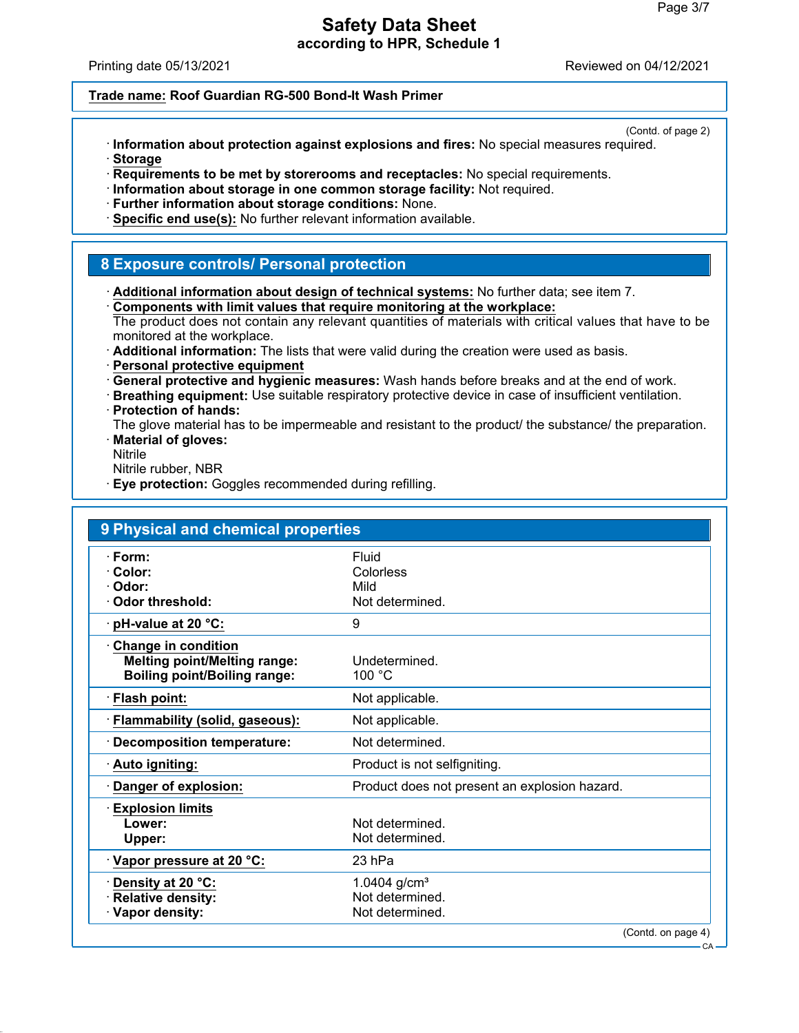Printing date 05/13/2021 Reviewed on 04/12/2021

#### **Trade name: Roof Guardian RG-500 Bond-It Wash Primer**

(Contd. of page 2)

CA

- · **Information about protection against explosions and fires:** No special measures required. · **Storage**
- · **Requirements to be met by storerooms and receptacles:** No special requirements.
- · **Information about storage in one common storage facility:** Not required.
- · **Further information about storage conditions:** None.
- · **Specific end use(s):** No further relevant information available.

### **8 Exposure controls/ Personal protection**

- · **Additional information about design of technical systems:** No further data; see item 7.
- · **Components with limit values that require monitoring at the workplace:**

The product does not contain any relevant quantities of materials with critical values that have to be monitored at the workplace.

- · **Additional information:** The lists that were valid during the creation were used as basis.
- · **Personal protective equipment**
- · **General protective and hygienic measures:** Wash hands before breaks and at the end of work.
- · **Breathing equipment:** Use suitable respiratory protective device in case of insufficient ventilation. · **Protection of hands:**
- The glove material has to be impermeable and resistant to the product/ the substance/ the preparation. · **Material of gloves:**
- Nitrile
- Nitrile rubber, NBR
- **Eye protection:** Goggles recommended during refilling.

| 9 Physical and chemical properties  |                                               |
|-------------------------------------|-----------------------------------------------|
| · Form:<br>$\cdot$ Color:           | Fluid<br>Colorless                            |
| · Odor:                             | Mild                                          |
| Odor threshold:                     | Not determined.                               |
| $\cdot$ pH-value at 20 °C:          | 9                                             |
| <b>Change in condition</b>          |                                               |
| <b>Melting point/Melting range:</b> | Undetermined.                                 |
| <b>Boiling point/Boiling range:</b> | 100 °C                                        |
| · Flash point:                      | Not applicable.                               |
| · Flammability (solid, gaseous):    | Not applicable.                               |
| · Decomposition temperature:        | Not determined.                               |
| · Auto igniting:                    | Product is not selfigniting.                  |
| Danger of explosion:                | Product does not present an explosion hazard. |
| <b>Explosion limits</b>             |                                               |
| Lower:                              | Not determined.                               |
| Upper:                              | Not determined.                               |
| Vapor pressure at 20 °C:            | 23 hPa                                        |
| Density at 20 °C:                   | 1.0404 $g/cm^{3}$                             |
| · Relative density:                 | Not determined.                               |
| · Vapor density:                    | Not determined.                               |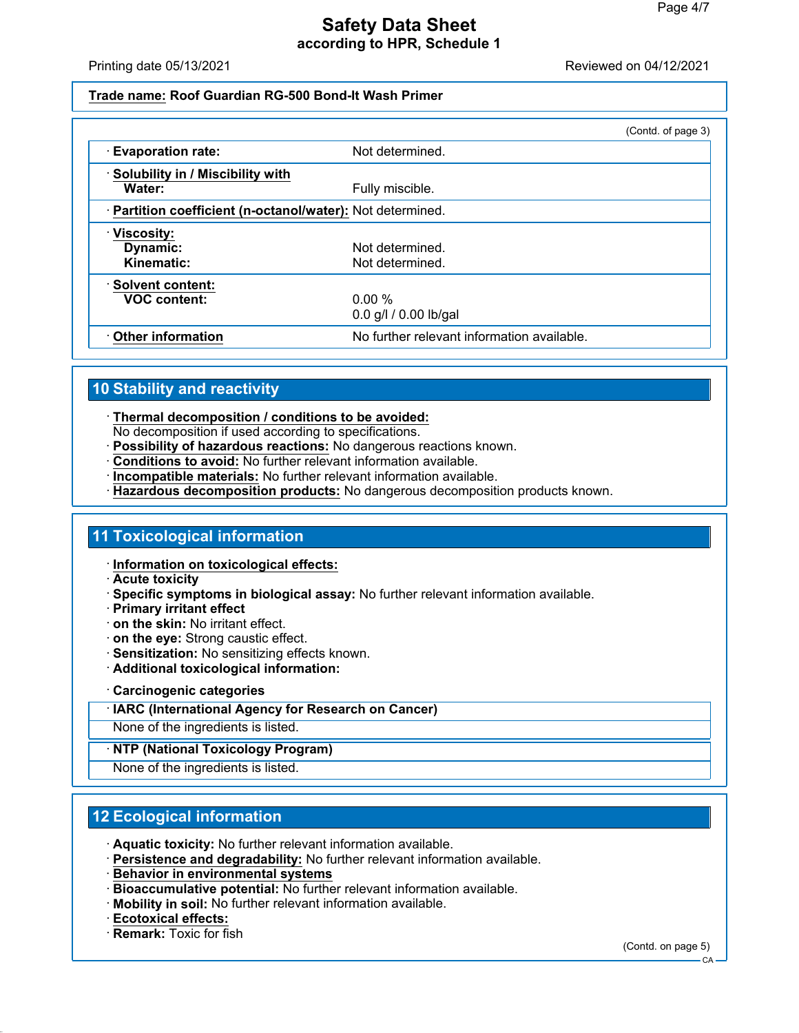Printing date 05/13/2021 Reviewed on 04/12/2021

#### **Trade name: Roof Guardian RG-500 Bond-It Wash Primer**

|                                                            |                                            | (Contd. of page 3) |
|------------------------------------------------------------|--------------------------------------------|--------------------|
| <b>Evaporation rate:</b>                                   | Not determined.                            |                    |
| · Solubility in / Miscibility with<br>Water:               | Fully miscible.                            |                    |
| · Partition coefficient (n-octanol/water): Not determined. |                                            |                    |
| · Viscosity:<br>Dynamic:<br>Kinematic:                     | Not determined.<br>Not determined.         |                    |
| · Solvent content:<br><b>VOC content:</b>                  | 0.00 %<br>$0.0$ g/l $/ 0.00$ lb/gal        |                    |
| Other information                                          | No further relevant information available. |                    |

## **10 Stability and reactivity**

· **Thermal decomposition / conditions to be avoided:**

No decomposition if used according to specifications.

- · **Possibility of hazardous reactions:** No dangerous reactions known.
- · **Conditions to avoid:** No further relevant information available.
- · **Incompatible materials:** No further relevant information available.
- · **Hazardous decomposition products:** No dangerous decomposition products known.

### **11 Toxicological information**

· **Information on toxicological effects:**

- · **Acute toxicity**
- · **Specific symptoms in biological assay:** No further relevant information available.
- · **Primary irritant effect**
- · **on the skin:** No irritant effect.
- · **on the eye:** Strong caustic effect.
- · **Sensitization:** No sensitizing effects known.
- · **Additional toxicological information:**

#### · **Carcinogenic categories**

#### · **IARC (International Agency for Research on Cancer)**

None of the ingredients is listed.

#### · **NTP (National Toxicology Program)**

None of the ingredients is listed.

## **12 Ecological information**

- · **Aquatic toxicity:** No further relevant information available.
- · **Persistence and degradability:** No further relevant information available.
- · **Behavior in environmental systems**
- · **Bioaccumulative potential:** No further relevant information available.
- · **Mobility in soil:** No further relevant information available.
- · **Ecotoxical effects:**
- · **Remark:** Toxic for fish

(Contd. on page 5)

CA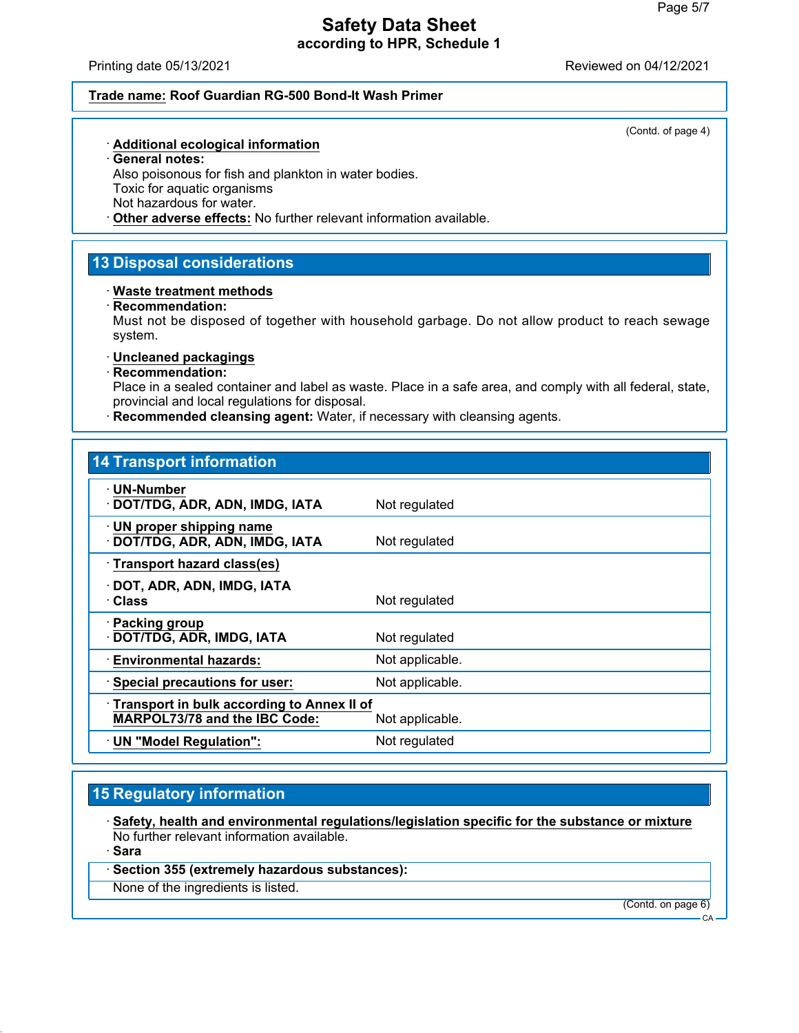Printing date 05/13/2021 Reviewed on 04/12/2021

#### **Trade name: Roof Guardian RG-500 Bond-It Wash Primer**

(Contd. of page 4)

#### · **Additional ecological information**

· **General notes:**

Also poisonous for fish and plankton in water bodies. Toxic for aquatic organisms Not hazardous for water.

· **Other adverse effects:** No further relevant information available.

## **13 Disposal considerations**

#### · **Waste treatment methods**

· **Recommendation:**

Must not be disposed of together with household garbage. Do not allow product to reach sewage system.

#### · **Uncleaned packagings**

· **Recommendation:**

Place in a sealed container and label as waste. Place in a safe area, and comply with all federal, state, provincial and local regulations for disposal.

· **Recommended cleansing agent:** Water, if necessary with cleansing agents.

## **14 Transport information**

| · UN-Number<br>· DOT/TDG, ADR, ADN, IMDG, IATA                                     | Not regulated   |
|------------------------------------------------------------------------------------|-----------------|
| $\cdot$ UN proper shipping name<br>· DOT/TDG, ADR, ADN, IMDG, IATA                 | Not regulated   |
| · Transport hazard class(es)                                                       |                 |
| · DOT, ADR, ADN, IMDG, IATA<br><b>· Class</b>                                      | Not regulated   |
| · Packing group<br>· DOT/TDG, ADR, IMDG, IATA                                      | Not regulated   |
| <b>Environmental hazards:</b>                                                      | Not applicable. |
| · Special precautions for user:                                                    | Not applicable. |
| Transport in bulk according to Annex II of<br><b>MARPOL73/78 and the IBC Code:</b> | Not applicable. |
| · UN "Model Regulation":                                                           | Not regulated   |

## **15 Regulatory information**

· **Safety, health and environmental regulations/legislation specific for the substance or mixture** No further relevant information available.

· **Sara**

### · **Section 355 (extremely hazardous substances):**

None of the ingredients is listed.

(Contd. on page 6)

CA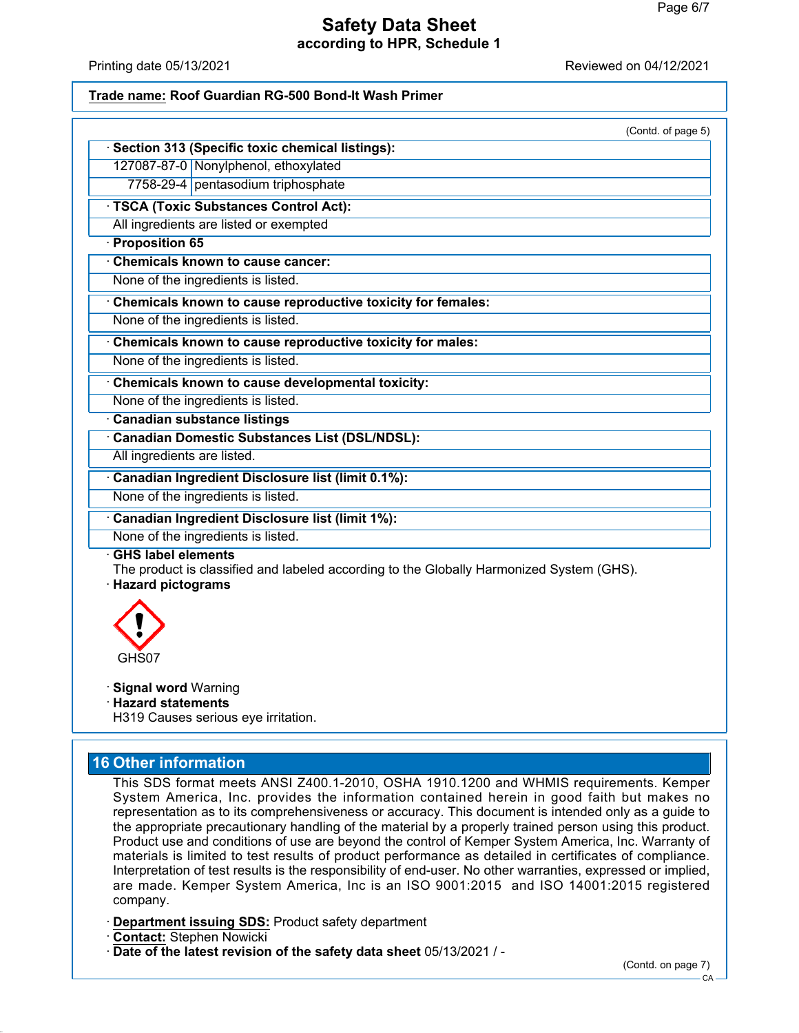Printing date 05/13/2021 Reviewed on 04/12/2021

#### **Trade name: Roof Guardian RG-500 Bond-It Wash Primer**

| 7758-29-4 pentasodium triphosphate<br><b>Canadian Domestic Substances List (DSL/NDSL):</b><br>All ingredients are listed.<br>The product is classified and labeled according to the Globally Harmonized System (GHS). |                                                             | (Contd. of page 5) |
|-----------------------------------------------------------------------------------------------------------------------------------------------------------------------------------------------------------------------|-------------------------------------------------------------|--------------------|
|                                                                                                                                                                                                                       | Section 313 (Specific toxic chemical listings):             |                    |
|                                                                                                                                                                                                                       | 127087-87-0 Nonylphenol, ethoxylated                        |                    |
|                                                                                                                                                                                                                       |                                                             |                    |
|                                                                                                                                                                                                                       | · TSCA (Toxic Substances Control Act):                      |                    |
|                                                                                                                                                                                                                       | All ingredients are listed or exempted                      |                    |
|                                                                                                                                                                                                                       | · Proposition 65                                            |                    |
|                                                                                                                                                                                                                       | <b>Chemicals known to cause cancer:</b>                     |                    |
|                                                                                                                                                                                                                       | None of the ingredients is listed.                          |                    |
|                                                                                                                                                                                                                       | Chemicals known to cause reproductive toxicity for females: |                    |
|                                                                                                                                                                                                                       | None of the ingredients is listed.                          |                    |
|                                                                                                                                                                                                                       | Chemicals known to cause reproductive toxicity for males:   |                    |
|                                                                                                                                                                                                                       | None of the ingredients is listed.                          |                    |
|                                                                                                                                                                                                                       | Chemicals known to cause developmental toxicity:            |                    |
|                                                                                                                                                                                                                       | None of the ingredients is listed.                          |                    |
|                                                                                                                                                                                                                       | <b>Canadian substance listings</b>                          |                    |
|                                                                                                                                                                                                                       |                                                             |                    |
|                                                                                                                                                                                                                       |                                                             |                    |
|                                                                                                                                                                                                                       | <b>Canadian Ingredient Disclosure list (limit 0.1%):</b>    |                    |
|                                                                                                                                                                                                                       | None of the ingredients is listed.                          |                    |
|                                                                                                                                                                                                                       | <b>Canadian Ingredient Disclosure list (limit 1%):</b>      |                    |
|                                                                                                                                                                                                                       | None of the ingredients is listed.                          |                    |
|                                                                                                                                                                                                                       | <b>GHS label elements</b><br>· Hazard pictograms            |                    |
|                                                                                                                                                                                                                       | GHS07                                                       |                    |
|                                                                                                                                                                                                                       | <b>Signal word Warning</b>                                  |                    |

· **Hazard statements**

H319 Causes serious eye irritation.

# **16 Other information**

This SDS format meets ANSI Z400.1-2010, OSHA 1910.1200 and WHMIS requirements. Kemper System America, Inc. provides the information contained herein in good faith but makes no representation as to its comprehensiveness or accuracy. This document is intended only as a guide to the appropriate precautionary handling of the material by a properly trained person using this product. Product use and conditions of use are beyond the control of Kemper System America, Inc. Warranty of materials is limited to test results of product performance as detailed in certificates of compliance. Interpretation of test results is the responsibility of end-user. No other warranties, expressed or implied, are made. Kemper System America, Inc is an ISO 9001:2015 and ISO 14001:2015 registered company.

- · **Department issuing SDS:** Product safety department
- · **Contact:** Stephen Nowicki
- · **Date of the latest revision of the safety data sheet** 05/13/2021 / -

(Contd. on page 7)

**CA**